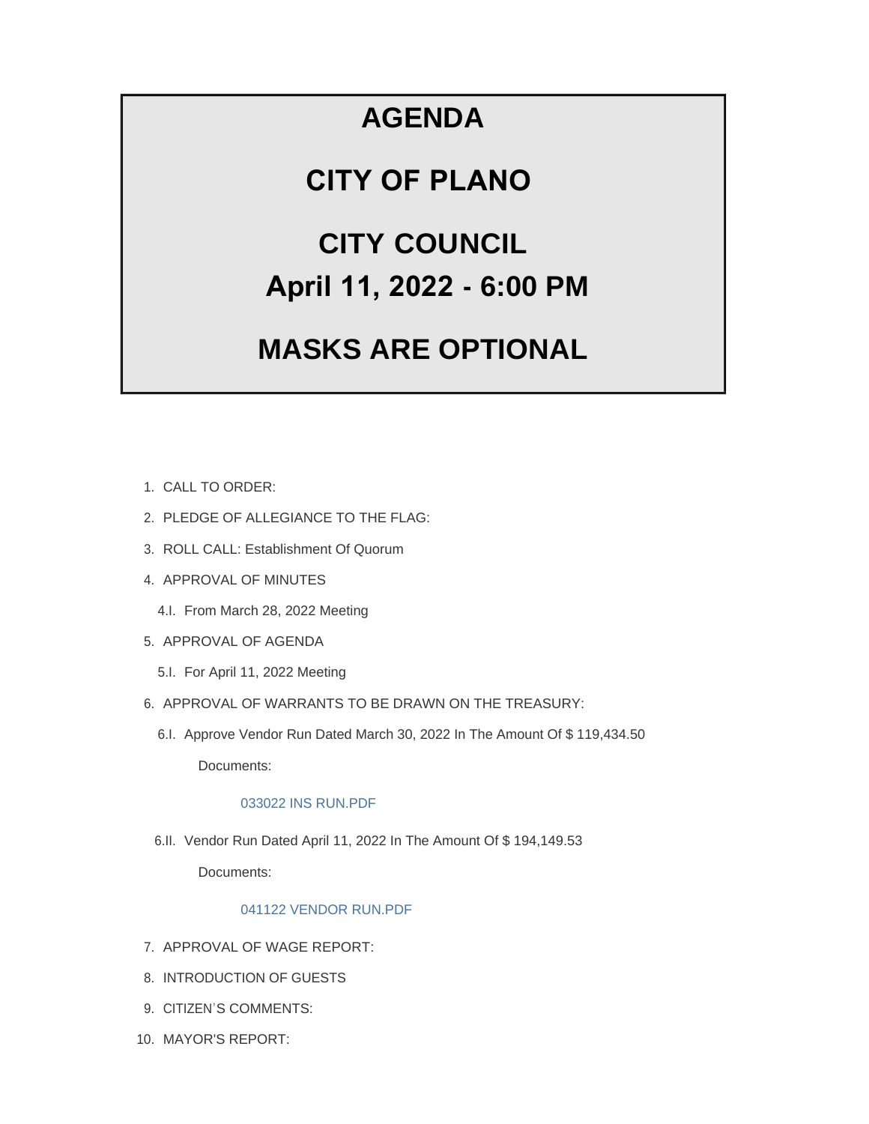## **AGENDA**

### **CITY OF PLANO**

# **CITY COUNCIL April 11, 2022 - 6:00 PM**

# **MASKS ARE OPTIONAL**

- CALL TO ORDER: 1.
- 2. PLEDGE OF ALLEGIANCE TO THE FLAG:
- 3. ROLL CALL: Establishment Of Quorum
- 4. APPROVAL OF MINUTES
	- 4.I. From March 28, 2022 Meeting
- 5. APPROVAL OF AGENDA
	- 5.I. For April 11, 2022 Meeting
- 6. APPROVAL OF WARRANTS TO BE DRAWN ON THE TREASURY:
	- 6.I. Approve Vendor Run Dated March 30, 2022 In The Amount Of \$119,434.50

Documents:

#### [033022 INS RUN.PDF](https://www.cityofplanoil.com/AgendaCenter/ViewFile/Item/8866?fileID=2478)

6.II. Vendor Run Dated April 11, 2022 In The Amount Of \$ 194,149.53

Documents:

#### [041122 VENDOR RUN.PDF](https://www.cityofplanoil.com/AgendaCenter/ViewFile/Item/8867?fileID=2486)

- 7. APPROVAL OF WAGE REPORT:
- 8. INTRODUCTION OF GUESTS
- 9. CITIZEN'S COMMENTS:
- 10. MAYOR'S REPORT: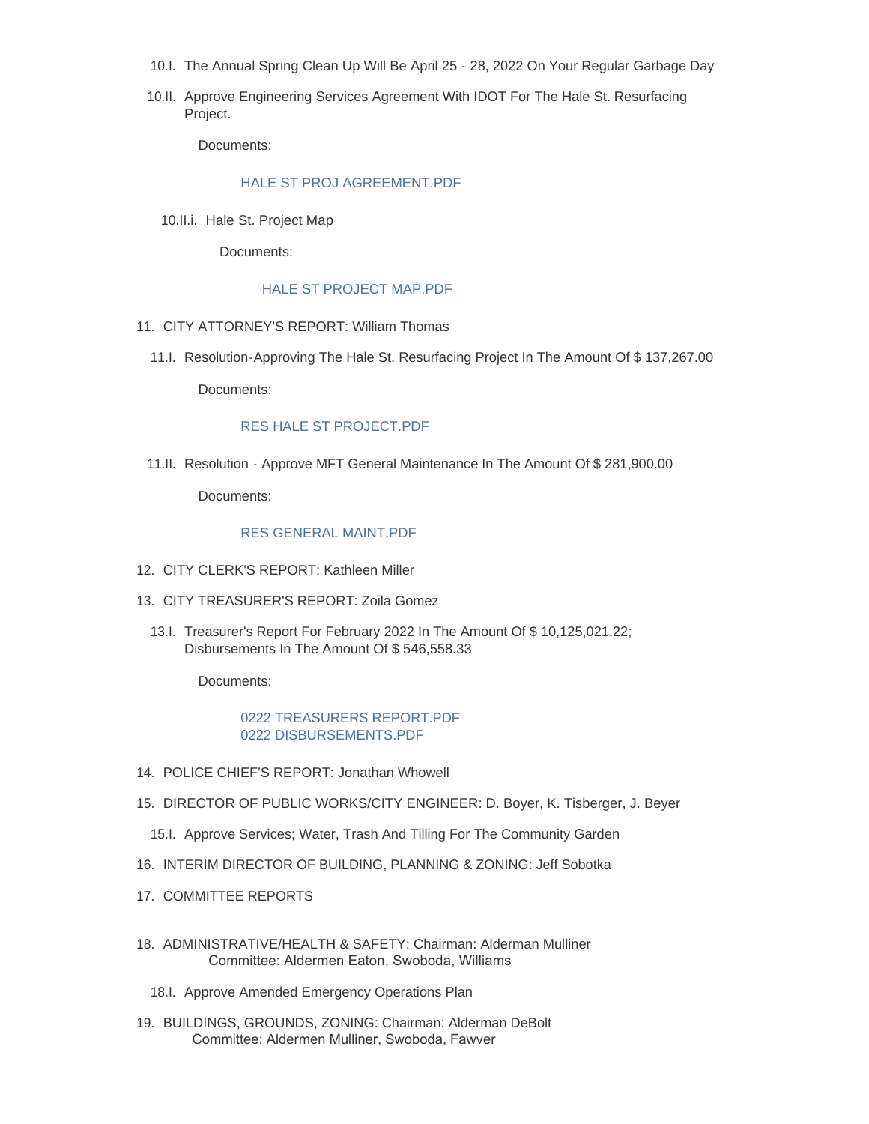- 10.I. The Annual Spring Clean Up Will Be April 25 28, 2022 On Your Regular Garbage Day
- 10.II. Approve Engineering Services Agreement With IDOT For The Hale St. Resurfacing Project.

Documents:

#### [HALE ST PROJ AGREEMENT.PDF](https://www.cityofplanoil.com/AgendaCenter/ViewFile/Item/8869?fileID=2479)

10.II.i. Hale St. Project Map

Documents:

#### [HALE ST PROJECT MAP.PDF](https://www.cityofplanoil.com/AgendaCenter/ViewFile/Item/8908?fileID=2487)

- 11. CITY ATTORNEY'S REPORT: William Thomas
	- 11.I. Resolution-Approving The Hale St. Resurfacing Project In The Amount Of \$137,267.00

Documents:

#### [RES HALE ST PROJECT.PDF](https://www.cityofplanoil.com/AgendaCenter/ViewFile/Item/8870?fileID=2480)

11.II. Resolution - Approve MFT General Maintenance In The Amount Of \$ 281,900.00

Documents:

#### [RES GENERAL MAINT.PDF](https://www.cityofplanoil.com/AgendaCenter/ViewFile/Item/8871?fileID=2481)

- CITY CLERK'S REPORT: Kathleen Miller 12.
- CITY TREASURER'S REPORT: Zoila Gomez 13.
	- 13.I. Treasurer's Report For February 2022 In The Amount Of \$10,125,021.22; Disbursements In The Amount Of \$ 546,558.33

Documents:

#### [0222 TREASURERS REPORT.PDF](https://www.cityofplanoil.com/AgendaCenter/ViewFile/Item/8872?fileID=2482) [0222 DISBURSEMENTS.PDF](https://www.cityofplanoil.com/AgendaCenter/ViewFile/Item/8872?fileID=2483)

- 14. POLICE CHIEF'S REPORT: Jonathan Whowell
- 15. DIRECTOR OF PUBLIC WORKS/CITY ENGINEER: D. Boyer, K. Tisberger, J. Beyer
	- 15.I. Approve Services; Water, Trash And Tilling For The Community Garden
- 16. INTERIM DIRECTOR OF BUILDING, PLANNING & ZONING: Jeff Sobotka
- 17. COMMITTEE REPORTS
- 18. ADMINISTRATIVE/HEALTH & SAFETY: Chairman: Alderman Mulliner Committee: Aldermen Eaton, Swoboda, Williams
	- 18.I. Approve Amended Emergency Operations Plan
- BUILDINGS, GROUNDS, ZONING: Chairman: Alderman DeBolt 19. Committee: Aldermen Mulliner, Swoboda, Fawver